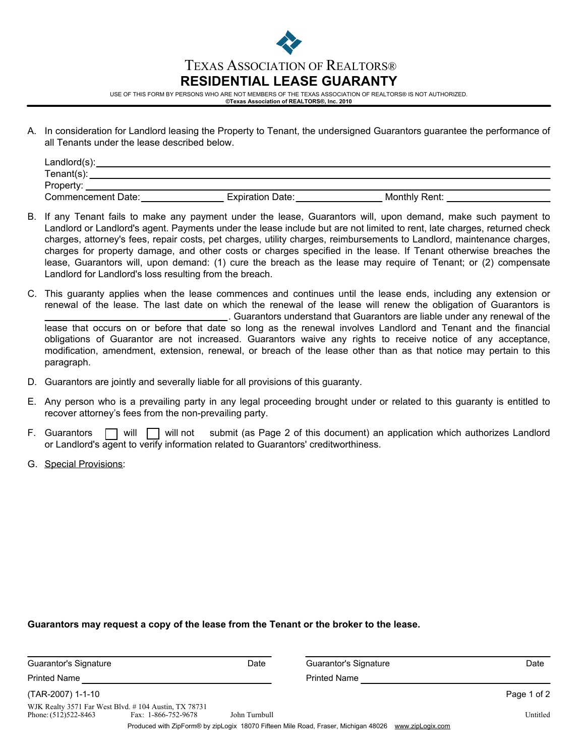

USE OF THIS FORM BY PERSONS WHO ARE NOT MEMBERS OF THE TEXAS ASSOCIATION OF REALTORS® IS NOT AUTHORIZED.

- **©Texas Association of REALTORS®, Inc. 2010**
- A. In consideration for Landlord leasing the Property to Tenant, the undersigned Guarantors guarantee the performance of all Tenants under the lease described below.

| Landlord(s):       |                         |               |  |
|--------------------|-------------------------|---------------|--|
| Tenant(s):         |                         |               |  |
| Property:          |                         |               |  |
| Commencement Date: | <b>Expiration Date:</b> | Monthly Rent: |  |

- B. If any Tenant fails to make any payment under the lease, Guarantors will, upon demand, make such payment to Landlord or Landlord's agent. Payments under the lease include but are not limited to rent, late charges, returned check charges, attorney's fees, repair costs, pet charges, utility charges, reimbursements to Landlord, maintenance charges, charges for property damage, and other costs or charges specified in the lease. If Tenant otherwise breaches the lease, Guarantors will, upon demand: (1) cure the breach as the lease may require of Tenant; or (2) compensate Landlord for Landlord's loss resulting from the breach.
- This guaranty applies when the lease commences and continues until the lease ends, including any extension or C. renewal of the lease. The last date on which the renewal of the lease will renew the obligation of Guarantors is . Guarantors understand that Guarantors are liable under any renewal of the lease that occurs on or before that date so long as the renewal involves Landlord and Tenant and the financial obligations of Guarantor are not increased. Guarantors waive any rights to receive notice of any acceptance, modification, amendment, extension, renewal, or breach of the lease other than as that notice may pertain to this paragraph.
- D. Guarantors are jointly and severally liable for all provisions of this guaranty.
- E. Any person who is a prevailing party in any legal proceeding brought under or related to this guaranty is entitled to recover attorney's fees from the non-prevailing party.
- F. Guarantors  $\Box$  will  $\Box$  will not submit (as Page 2 of this document) an application which authorizes Landlord or Landlord's agent to verify information related to Guarantors' creditworthiness.
- G. Special Provisions:

## **Guarantors may request a copy of the lease from the Tenant or the broker to the lease.**

| Guarantor's Signature |                                                                             | Date          | Guarantor's Signature                                                                                  | Date        |
|-----------------------|-----------------------------------------------------------------------------|---------------|--------------------------------------------------------------------------------------------------------|-------------|
| <b>Printed Name</b>   |                                                                             |               | <b>Printed Name</b>                                                                                    |             |
| (TAR-2007) 1-1-10     |                                                                             |               |                                                                                                        | Page 1 of 2 |
| Phone: (512)522-8463  | WJK Realty 3571 Far West Blvd. #104 Austin, TX 78731<br>Fax: 1-866-752-9678 | John Turnbull |                                                                                                        | Untitled    |
|                       |                                                                             |               | Produced with ZipForm® by zipLogix 18070 Fifteen Mile Road, Fraser, Michigan 48026<br>www.zipLogix.com |             |